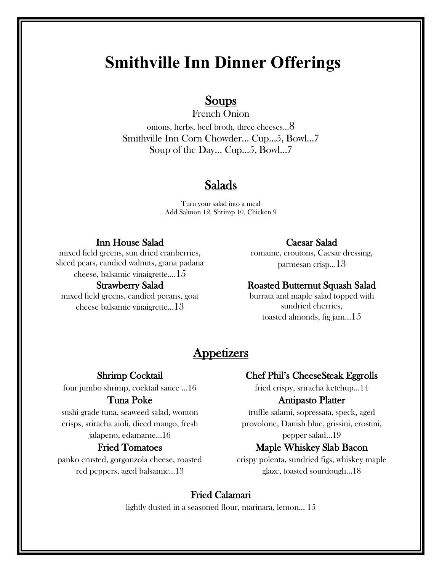## **Smithville Inn Dinner Offerings**

# **Soups**<br>French Onion

onions, herbs, beef broth, three cheeses…8 Smithville Inn Corn Chowder… Cup…5, Bowl…7 Soup of the Day… Cup…5, Bowl…7

## Salads

Turn your salad into a meal Add Salmon 12, Shrimp 10, Chicken 9

#### Inn House Salad

mixed field greens, sun dried cranberries, sliced pears, candied walnuts, grana padana cheese, balsamic vinaigrette.…15

#### Strawberry Salad

mixed field greens, candied pecans, goat cheese balsamic vinaigrette…13

#### Caesar Salad

romaine, croutons, Caesar dressing, parmesan crisp…13

#### Roasted Butternut Squash Salad

burrata and maple salad topped with sundried cherries, toasted almonds, fig jam... $15$ 

## **Appetizers**

#### Shrimp Cocktail

four jumbo shrimp, cocktail sauce …16

#### Tuna Poke

sushi grade tuna, seaweed salad, wonton crisps, sriracha aioli, diced mango, fresh jalapeno, edamame…16

#### Fried Tomatoes

panko crusted, gorgonzola cheese, roasted red peppers, aged balsamic…13

#### Chef Phil's CheeseSteak Eggrolls

fried crispy, sriracha ketchup…14

#### Antipasto Platter

truffle salami, sopressata, speck, aged provolone, Danish blue, grissini, crostini, pepper salad…19

#### Maple Whiskey Slab Bacon

crispy polenta, sundried figs, whiskey maple glaze, toasted sourdough…18

#### Fried Calamari

lightly dusted in a seasoned flour, marinara, lemon… 15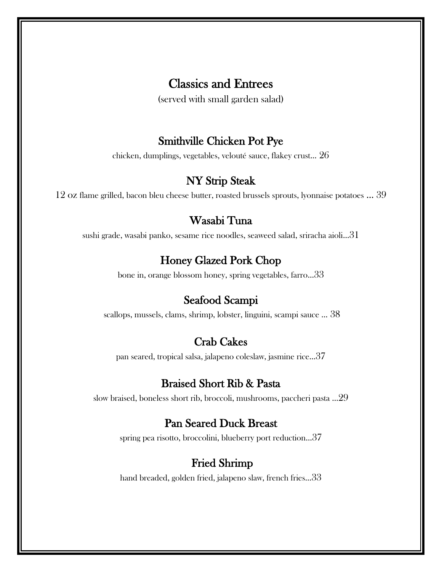## Classics and Entrees

(served with small garden salad)

#### Smithville Chicken Pot Pye

chicken, dumplings, vegetables, velouté sauce, flakey crust… 26

## NY Strip Steak

12 oz flame grilled, bacon bleu cheese butter, roasted brussels sprouts, lyonnaise potatoes … 39

## Wasabi Tuna

sushi grade, wasabi panko, sesame rice noodles, seaweed salad, sriracha aioli…31

## Honey Glazed Pork Chop

bone in, orange blossom honey, spring vegetables, farro…33

#### Seafood Scampi

scallops, mussels, clams, shrimp, lobster, linguini, scampi sauce … 38

#### Crab Cakes

pan seared, tropical salsa, jalapeno coleslaw, jasmine rice…37

## Braised Short Rib & Pasta

slow braised, boneless short rib, broccoli, mushrooms, paccheri pasta …29

#### Pan Seared Duck Breast

spring pea risotto, broccolini, blueberry port reduction…37

## Fried Shrimp

hand breaded, golden fried, jalapeno slaw, french fries…33